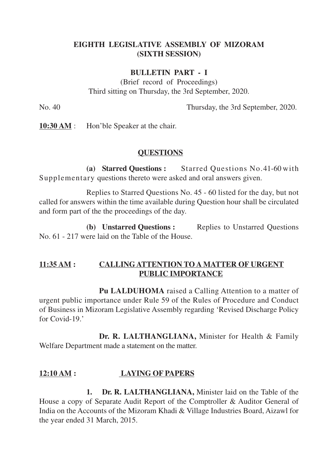### **EIGHTH LEGISLATIVE ASSEMBLY OF MIZORAM (SIXTH SESSION)**

#### **BULLETIN PART - I**

(Brief record of Proceedings) Third sitting on Thursday, the 3rd September, 2020.

No. 40 Thursday, the 3rd September, 2020.

**10:30 AM** : Hon'ble Speaker at the chair.

#### **QUESTIONS**

**(a) Starred Questions :** Starred Questions No.41-60 with Supplementary questions thereto were asked and oral answers given.

Replies to Starred Questions No. 45 - 60 listed for the day, but not called for answers within the time available during Question hour shall be circulated and form part of the the proceedings of the day.

**(b) Unstarred Questions :** Replies to Unstarred Questions No. 61 - 217 were laid on the Table of the House.

### **11:35 AM : CALLINGATTENTION TO A MATTER OF URGENT PUBLIC IMPORTANCE**

**Pu LALDUHOMA** raised a Calling Attention to a matter of urgent public importance under Rule 59 of the Rules of Procedure and Conduct of Business in Mizoram Legislative Assembly regarding 'Revised Discharge Policy for Covid-19.'

**Dr. R. LALTHANGLIANA,** Minister for Health & Family Welfare Department made a statement on the matter.

# **12:10 AM : LAYING OF PAPERS**

**1. Dr. R. LALTHANGLIANA,** Minister laid on the Table of the House a copy of Separate Audit Report of the Comptroller & Auditor General of India on the Accounts of the Mizoram Khadi & Village Industries Board, Aizawl for the year ended 31 March, 2015.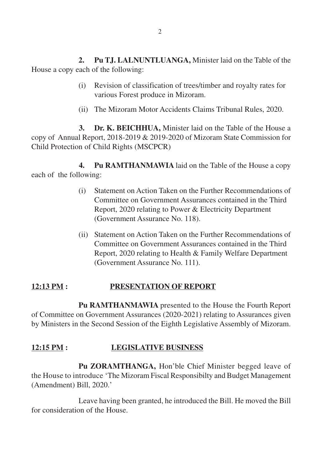**2. Pu TJ. LALNUNTLUANGA,** Minister laid on the Table of the House a copy each of the following:

- (i) Revision of classification of trees/timber and royalty rates for various Forest produce in Mizoram.
- (ii) The Mizoram Motor Accidents Claims Tribunal Rules, 2020.

**3. Dr. K. BEICHHUA,** Minister laid on the Table of the House a copy of Annual Report, 2018-2019 & 2019-2020 of Mizoram State Commission for Child Protection of Child Rights (MSCPCR)

**4. Pu RAMTHANMAWIA** laid on the Table of the House a copy each of the following:

- (i) Statement on Action Taken on the Further Recommendations of Committee on Government Assurances contained in the Third Report, 2020 relating to Power & Electricity Department (Government Assurance No. 118).
- (ii) Statement on Action Taken on the Further Recommendations of Committee on Government Assurances contained in the Third Report, 2020 relating to Health & Family Welfare Department (Government Assurance No. 111).

# **12:13 PM : PRESENTATION OF REPORT**

**Pu RAMTHANMAWIA** presented to the House the Fourth Report of Committee on Government Assurances (2020-2021) relating to Assurances given by Ministers in the Second Session of the Eighth Legislative Assembly of Mizoram.

# **12:15 PM : LEGISLATIVE BUSINESS**

**Pu ZORAMTHANGA,** Hon'ble Chief Minister begged leave of the House to introduce 'The Mizoram Fiscal Responsibilty and Budget Management (Amendment) Bill, 2020.'

Leave having been granted, he introduced the Bill. He moved the Bill for consideration of the House.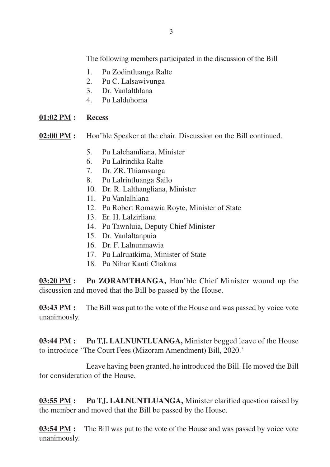The following members participated in the discussion of the Bill

- 1. Pu Zodintluanga Ralte
- 2. Pu C. Lalsawivunga
- 3. Dr. Vanlalthlana
- 4. Pu Lalduhoma

#### **01:02 PM : Recess**

#### **02:00 PM :** Hon'ble Speaker at the chair. Discussion on the Bill continued.

- 5. Pu Lalchamliana, Minister
- 6. Pu Lalrindika Ralte
- 7. Dr. ZR. Thiamsanga
- 8. Pu Lalrintluanga Sailo
- 10. Dr. R. Lalthangliana, Minister
- 11. Pu Vanlalhlana
- 12. Pu Robert Romawia Royte, Minister of State
- 13. Er. H. Lalzirliana
- 14. Pu Tawnluia, Deputy Chief Minister
- 15. Dr. Vanlaltanpuia
- 16. Dr. F. Lalnunmawia
- 17. Pu Lalruatkima, Minister of State
- 18. Pu Nihar Kanti Chakma

**03:20 PM : Pu ZORAMTHANGA,** Hon'ble Chief Minister wound up the discussion and moved that the Bill be passed by the House.

**03:43 PM :** The Bill was put to the vote of the House and was passed by voice vote unanimously.

**03:44 PM :** Pu TJ. LALNUNTLUANGA, Minister begged leave of the House to introduce 'The Court Fees (Mizoram Amendment) Bill, 2020.'

Leave having been granted, he introduced the Bill. He moved the Bill for consideration of the House.

**03:55 PM :** Pu TJ. LALNUNTLUANGA, Minister clarified question raised by the member and moved that the Bill be passed by the House.

**03:54 PM :** The Bill was put to the vote of the House and was passed by voice vote unanimously.